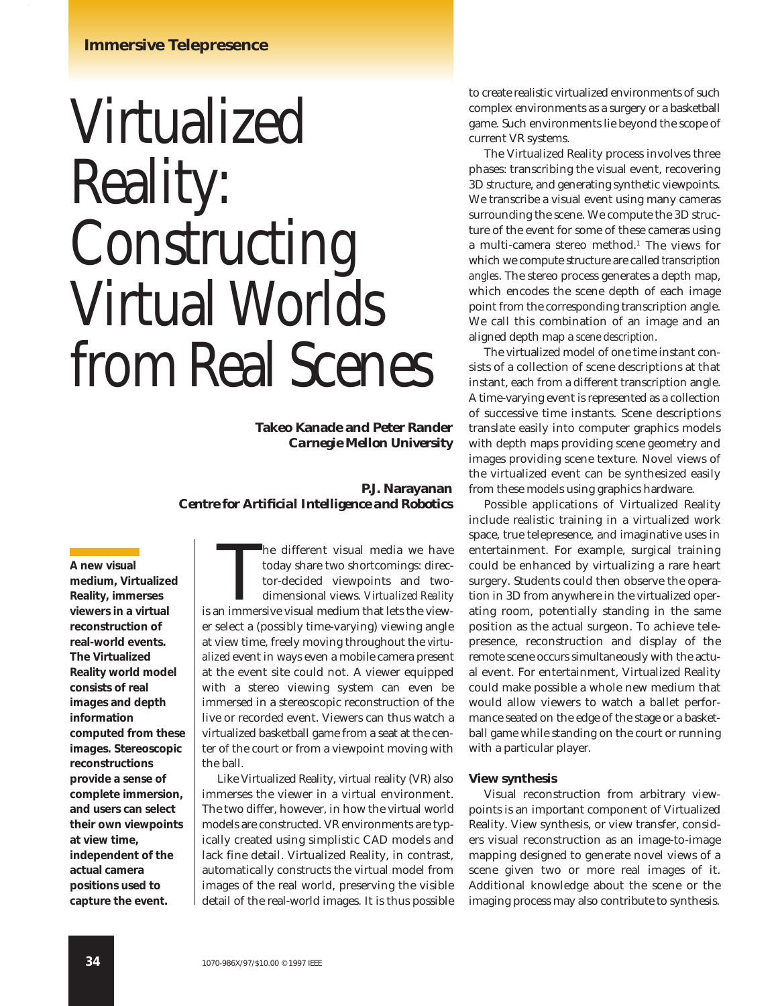# Virtualized Reality: Constructing Virtual Worlds from Real Scenes

**Takeo Kanade and Peter Rander**  *Carnegie Mellon University*

**P.J. Narayanan** *Centre for Artificial Intelligence and Robotics*

**A new visual medium, Virtualized Reality, immerses viewers in a virtual reconstruction of real-world events. The Virtualized Reality world model consists of real images and depth information computed from these images. Stereoscopic reconstructions provide a sense of complete immersion, and users can select their own viewpoints at view time, independent of the actual camera positions used to capture the event.**

The different visual media we have<br>today share two shortcomings: direc-<br>tor-decided viewpoints and two-<br>dimensional views. Virtualized Reality<br>is an immersive visual medium that lets the viewtoday share two shortcomings: director-decided viewpoints and twodimensional views. *Virtualized Reality* er select a (possibly time-varying) viewing angle at view time, freely moving throughout the *virtualized* event in ways even a mobile camera present at the event site could not. A viewer equipped with a stereo viewing system can even be immersed in a stereoscopic reconstruction of the live or recorded event. Viewers can thus watch a virtualized basketball game from a seat at the center of the court or from a viewpoint moving with the ball.

Like Virtualized Reality, virtual reality (VR) also immerses the viewer in a virtual environment. The two differ, however, in how the virtual world models are constructed. VR environments are typically created using simplistic CAD models and lack fine detail. Virtualized Reality, in contrast, automatically constructs the virtual model from images of the real world, preserving the visible detail of the real-world images. It is thus possible

to create realistic virtualized environments of such complex environments as a surgery or a basketball game. Such environments lie beyond the scope of current VR systems.

The Virtualized Reality process involves three phases: transcribing the visual event, recovering 3D structure, and generating synthetic viewpoints. We transcribe a visual event using many cameras surrounding the scene. We compute the 3D structure of the event for some of these cameras using a multi-camera stereo method.<sup>1</sup> The views for which we compute structure are called *transcription angles*. The stereo process generates a depth map, which encodes the scene depth of each image point from the corresponding transcription angle. We call this combination of an image and an aligned depth map a *scene description*.

The virtualized model of one time instant consists of a collection of scene descriptions at that instant, each from a different transcription angle. A time-varying event is represented as a collection of successive time instants. Scene descriptions translate easily into computer graphics models with depth maps providing scene geometry and images providing scene texture. Novel views of the virtualized event can be synthesized easily from these models using graphics hardware.

Possible applications of Virtualized Reality include realistic training in a virtualized work space, true telepresence, and imaginative uses in entertainment. For example, surgical training could be enhanced by virtualizing a rare heart surgery. Students could then observe the operation in 3D from anywhere in the virtualized operating room, potentially standing in the same position as the actual surgeon. To achieve telepresence, reconstruction and display of the remote scene occurs simultaneously with the actual event. For entertainment, Virtualized Reality could make possible a whole new medium that would allow viewers to watch a ballet performance seated on the edge of the stage or a basketball game while standing on the court or running with a particular player.

## **View synthesis**

Visual reconstruction from arbitrary viewpoints is an important component of Virtualized Reality. View synthesis, or view transfer, considers visual reconstruction as an image-to-image mapping designed to generate novel views of a scene given two or more real images of it. Additional knowledge about the scene or the imaging process may also contribute to synthesis.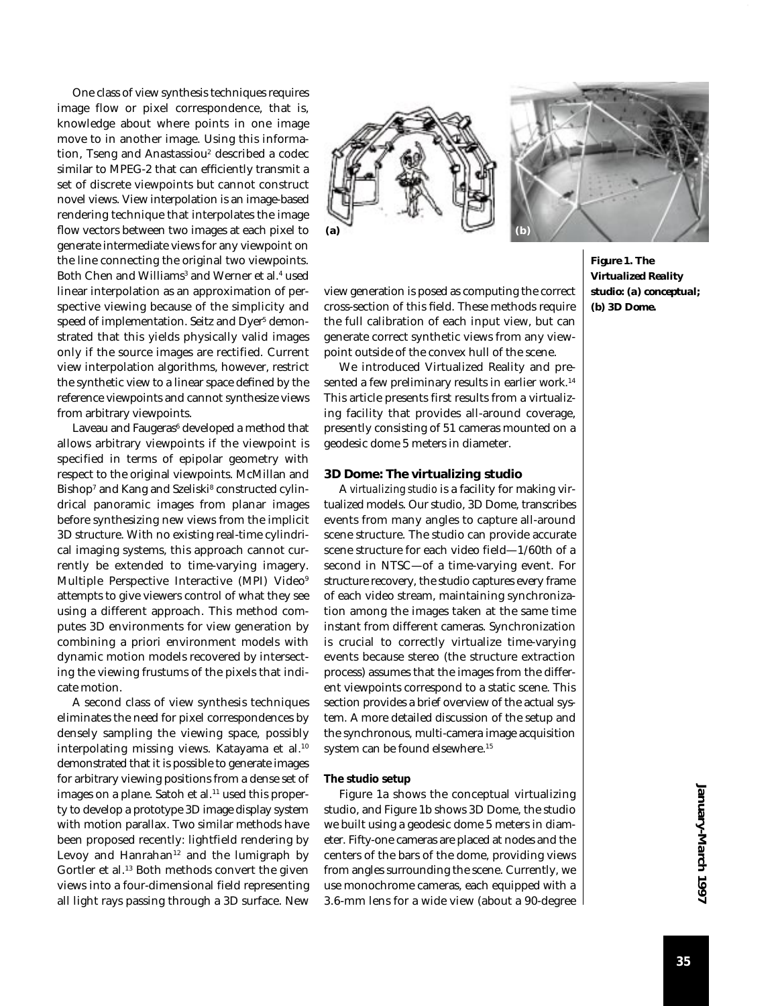One class of view synthesis techniques requires image flow or pixel correspondence, that is, knowledge about where points in one image move to in another image. Using this information, Tseng and Anastassiou<sup>2</sup> described a codec similar to MPEG-2 that can efficiently transmit a set of discrete viewpoints but cannot construct novel views. View interpolation is an image-based rendering technique that interpolates the image flow vectors between two images at each pixel to generate intermediate views for any viewpoint on the line connecting the original two viewpoints. Both Chen and Williams<sup>3</sup> and Werner et al.<sup>4</sup> used linear interpolation as an approximation of perspective viewing because of the simplicity and speed of implementation. Seitz and Dyer<sup>5</sup> demonstrated that this yields physically valid images only if the source images are rectified. Current view interpolation algorithms, however, restrict the synthetic view to a linear space defined by the reference viewpoints and cannot synthesize views from arbitrary viewpoints.

Laveau and Faugeras<sup>6</sup> developed a method that allows arbitrary viewpoints if the viewpoint is specified in terms of epipolar geometry with respect to the original viewpoints. McMillan and Bishop<sup>7</sup> and Kang and Szeliski<sup>8</sup> constructed cylindrical panoramic images from planar images before synthesizing new views from the implicit 3D structure. With no existing real-time cylindrical imaging systems, this approach cannot currently be extended to time-varying imagery. Multiple Perspective Interactive (MPI) Video<sup>9</sup> attempts to give viewers control of what they see using a different approach. This method computes 3D environments for view generation by combining a priori environment models with dynamic motion models recovered by intersecting the viewing frustums of the pixels that indicate motion.

A second class of view synthesis techniques eliminates the need for pixel correspondences by densely sampling the viewing space, possibly interpolating missing views. Katayama et al.10 demonstrated that it is possible to generate images for arbitrary viewing positions from a dense set of images on a plane. Satoh et al.<sup>11</sup> used this property to develop a prototype 3D image display system with motion parallax. Two similar methods have been proposed recently: lightfield rendering by Levoy and Hanrahan $12$  and the lumigraph by Gortler et al.<sup>13</sup> Both methods convert the given views into a four-dimensional field representing all light rays passing through a 3D surface. New





We introduced Virtualized Reality and presented a few preliminary results in earlier work.<sup>14</sup> This article presents first results from a virtualizing facility that provides all-around coverage, presently consisting of 51 cameras mounted on a geodesic dome 5 meters in diameter.

#### **3D Dome: The virtualizing studio**

A *virtualizing studio* is a facility for making virtualized models. Our studio, 3D Dome, transcribes events from many angles to capture all-around scene structure. The studio can provide accurate scene structure for each video field—1/60th of a second in NTSC—of a time-varying event. For structure recovery, the studio captures every frame of each video stream, maintaining synchronization among the images taken at the same time instant from different cameras. Synchronization is crucial to correctly virtualize time-varying events because stereo (the structure extraction process) assumes that the images from the different viewpoints correspond to a static scene. This section provides a brief overview of the actual system. A more detailed discussion of the setup and the synchronous, multi-camera image acquisition system can be found elsewhere.<sup>15</sup>

#### **The studio setup**

Figure 1a shows the conceptual virtualizing studio, and Figure 1b shows 3D Dome, the studio we built using a geodesic dome 5 meters in diameter. Fifty-one cameras are placed at nodes and the centers of the bars of the dome, providing views from angles surrounding the scene. Currently, we use monochrome cameras, each equipped with a 3.6-mm lens for a wide view (about a 90-degree

*Figure 1. The Virtualized Reality studio: (a) conceptual; (b) 3D Dome.*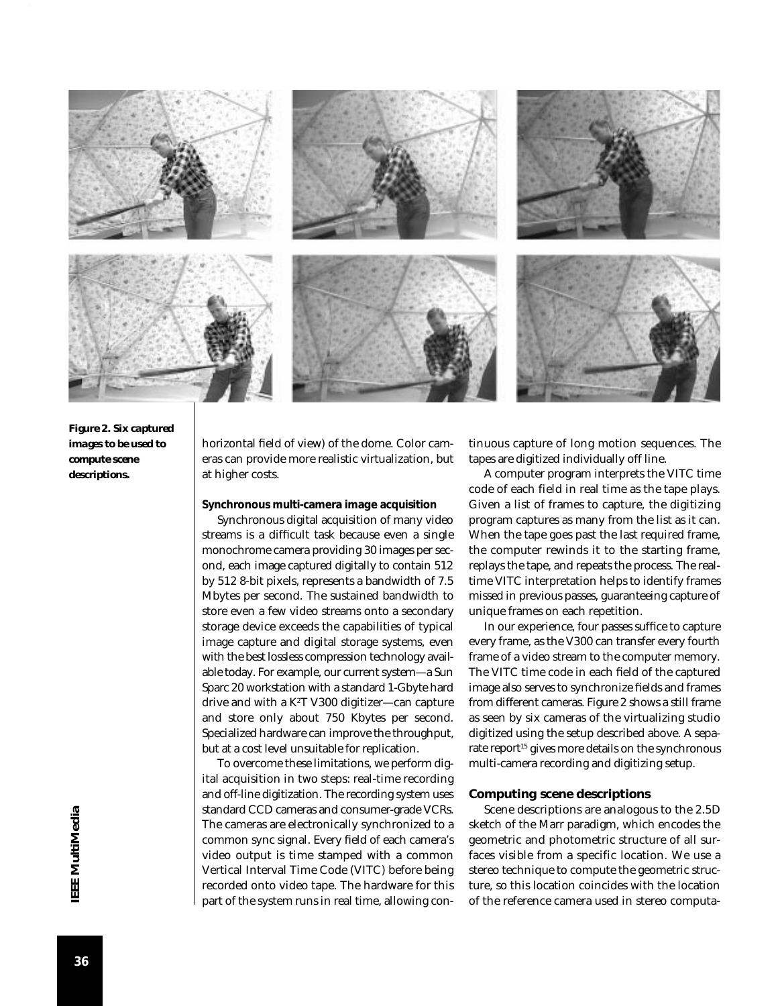



*Figure 2. Six captured images to be used to compute scene descriptions.*

horizontal field of view) of the dome. Color cameras can provide more realistic virtualization, but at higher costs.

**Synchronous multi-camera image acquisition**

Synchronous digital acquisition of many video streams is a difficult task because even a single monochrome camera providing 30 images per second, each image captured digitally to contain 512 by 512 8-bit pixels, represents a bandwidth of 7.5 Mbytes per second. The sustained bandwidth to store even a few video streams onto a secondary storage device exceeds the capabilities of typical image capture and digital storage systems, even with the best lossless compression technology available today. For example, our current system—a Sun Sparc 20 workstation with a standard 1-Gbyte hard drive and with a K<sup>2</sup>T V300 digitizer—can capture and store only about 750 Kbytes per second. Specialized hardware can improve the throughput, but at a cost level unsuitable for replication.

To overcome these limitations, we perform digital acquisition in two steps: real-time recording and off-line digitization. The recording system uses standard CCD cameras and consumer-grade VCRs. The cameras are electronically synchronized to a common sync signal. Every field of each camera's video output is time stamped with a common Vertical Interval Time Code (VITC) before being recorded onto video tape. The hardware for this part of the system runs in real time, allowing con-

tinuous capture of long motion sequences. The tapes are digitized individually off line.

A computer program interprets the VITC time code of each field in real time as the tape plays. Given a list of frames to capture, the digitizing program captures as many from the list as it can. When the tape goes past the last required frame, the computer rewinds it to the starting frame, replays the tape, and repeats the process. The realtime VITC interpretation helps to identify frames missed in previous passes, guaranteeing capture of unique frames on each repetition.

In our experience, four passes suffice to capture every frame, as the V300 can transfer every fourth frame of a video stream to the computer memory. The VITC time code in each field of the captured image also serves to synchronize fields and frames from different cameras. Figure 2 shows a still frame as seen by six cameras of the virtualizing studio digitized using the setup described above. A separate report<sup>15</sup> gives more details on the synchronous multi-camera recording and digitizing setup.

## **Computing scene descriptions**

Scene descriptions are analogous to the 2.5D sketch of the Marr paradigm, which encodes the geometric and photometric structure of all surfaces visible from a specific location. We use a stereo technique to compute the geometric structure, so this location coincides with the location of the reference camera used in stereo computa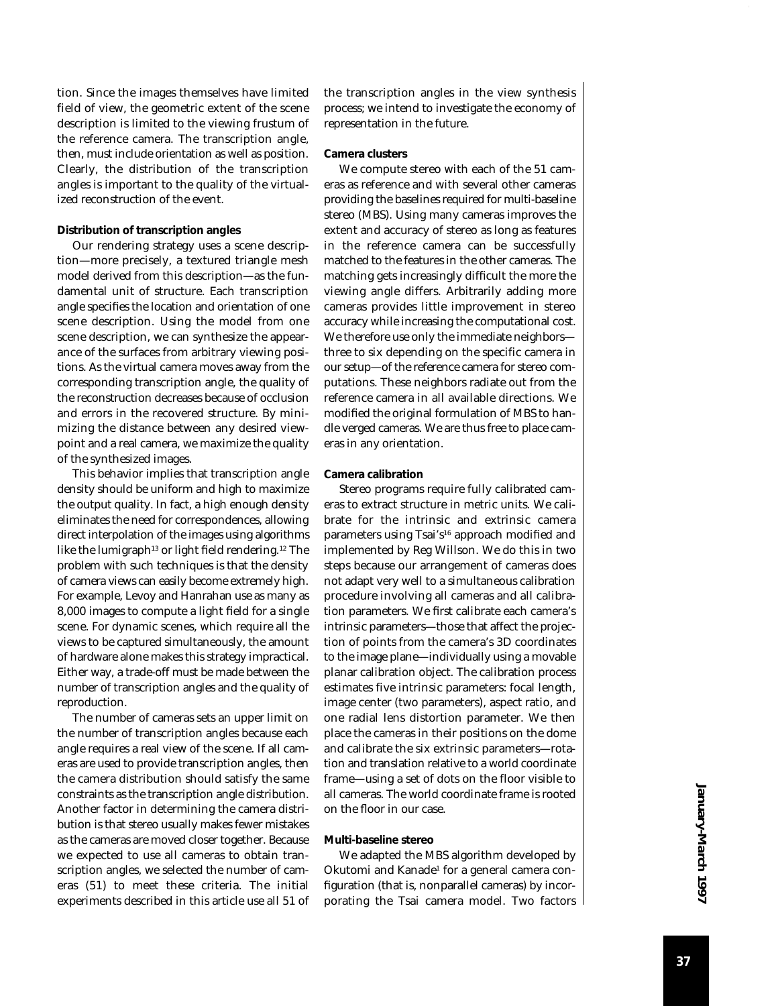tion. Since the images themselves have limited field of view, the geometric extent of the scene description is limited to the viewing frustum of the reference camera. The transcription angle, then, must include orientation as well as position. Clearly, the distribution of the transcription angles is important to the quality of the virtualized reconstruction of the event.

# **Distribution of transcription angles**

Our rendering strategy uses a scene description—more precisely, a textured triangle mesh model derived from this description—as the fundamental unit of structure. Each transcription angle specifies the location and orientation of one scene description. Using the model from one scene description, we can synthesize the appearance of the surfaces from arbitrary viewing positions. As the virtual camera moves away from the corresponding transcription angle, the quality of the reconstruction decreases because of occlusion and errors in the recovered structure. By minimizing the distance between any desired viewpoint and a real camera, we maximize the quality of the synthesized images.

This behavior implies that transcription angle density should be uniform and high to maximize the output quality. In fact, a high enough density eliminates the need for correspondences, allowing direct interpolation of the images using algorithms like the lumigraph<sup>13</sup> or light field rendering.<sup>12</sup> The problem with such techniques is that the density of camera views can easily become extremely high. For example, Levoy and Hanrahan use as many as 8,000 images to compute a light field for a single scene. For dynamic scenes, which require all the views to be captured simultaneously, the amount of hardware alone makes this strategy impractical. Either way, a trade-off must be made between the number of transcription angles and the quality of reproduction.

The number of cameras sets an upper limit on the number of transcription angles because each angle requires a real view of the scene. If all cameras are used to provide transcription angles, then the camera distribution should satisfy the same constraints as the transcription angle distribution. Another factor in determining the camera distribution is that stereo usually makes fewer mistakes as the cameras are moved closer together. Because we expected to use all cameras to obtain transcription angles, we selected the number of cameras (51) to meet these criteria. The initial experiments described in this article use all 51 of the transcription angles in the view synthesis process; we intend to investigate the economy of representation in the future.

## **Camera clusters**

We compute stereo with each of the 51 cameras as reference and with several other cameras providing the baselines required for multi-baseline stereo (MBS). Using many cameras improves the extent and accuracy of stereo as long as features in the reference camera can be successfully matched to the features in the other cameras. The matching gets increasingly difficult the more the viewing angle differs. Arbitrarily adding more cameras provides little improvement in stereo accuracy while increasing the computational cost. We therefore use only the immediate neighbors three to six depending on the specific camera in our setup—of the reference camera for stereo computations. These neighbors radiate out from the reference camera in all available directions. We modified the original formulation of MBS to handle verged cameras. We are thus free to place cameras in any orientation.

## **Camera calibration**

Stereo programs require fully calibrated cameras to extract structure in metric units. We calibrate for the intrinsic and extrinsic camera parameters using Tsai's<sup>16</sup> approach modified and implemented by Reg Willson. We do this in two steps because our arrangement of cameras does not adapt very well to a simultaneous calibration procedure involving all cameras and all calibration parameters. We first calibrate each camera's intrinsic parameters—those that affect the projection of points from the camera's 3D coordinates to the image plane—individually using a movable planar calibration object. The calibration process estimates five intrinsic parameters: focal length, image center (two parameters), aspect ratio, and one radial lens distortion parameter. We then place the cameras in their positions on the dome and calibrate the six extrinsic parameters—rotation and translation relative to a world coordinate frame—using a set of dots on the floor visible to all cameras. The world coordinate frame is rooted on the floor in our case.

#### **Multi-baseline stereo**

We adapted the MBS algorithm developed by Okutomi and Kanade<sup>1</sup> for a general camera configuration (that is, nonparallel cameras) by incorporating the Tsai camera model. Two factors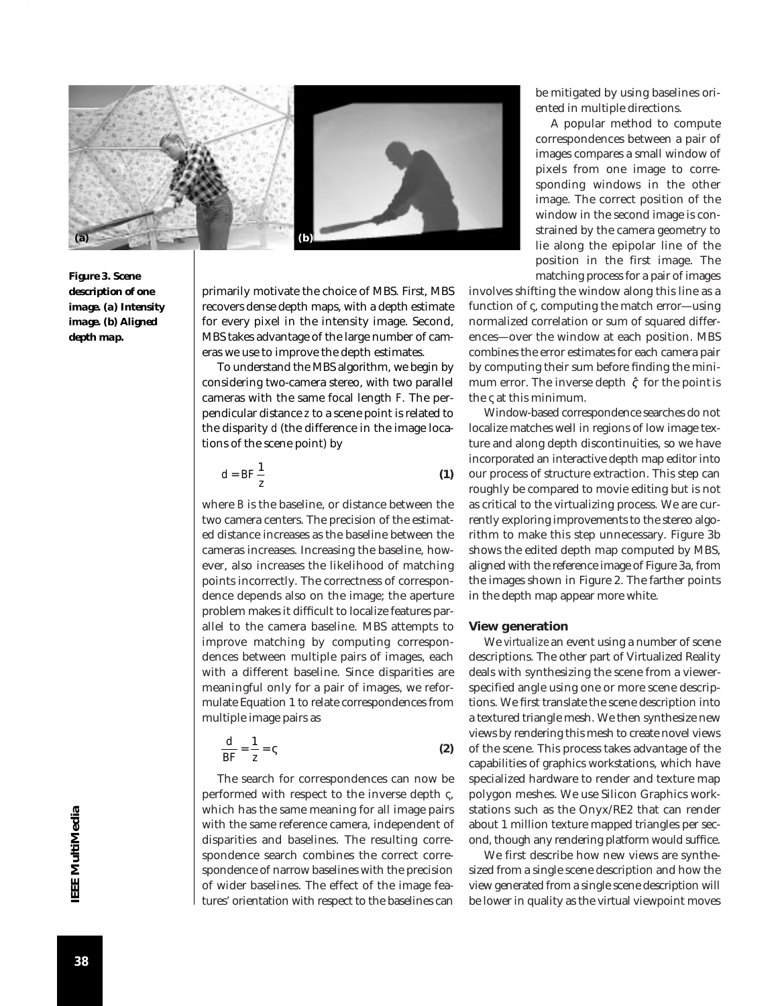**EEE MultiMedia 38IEEE MultiMedia**

tions of the scene point) by

MBS takes advantage of the large number of cameras we use to improve the depth estimates. To understand the MBS algorithm, we begin by

considering two-camera stereo, with two parallel cameras with the same focal length *F*. The perpendicular distance *z* to a scene point is related to the disparity *d* (the difference in the image loca-

primarily motivate the choice of MBS. First, MBS recovers dense depth maps, with a depth estimate for every pixel in the intensity image. Second,

$$
d = BF \frac{1}{z} \tag{1}
$$

where *B* is the baseline, or distance between the two camera centers. The precision of the estimated distance increases as the baseline between the cameras increases. Increasing the baseline, however, also increases the likelihood of matching points incorrectly. The correctness of correspondence depends also on the image; the aperture problem makes it difficult to localize features parallel to the camera baseline. MBS attempts to improve matching by computing correspondences between multiple pairs of images, each with a different baseline. Since disparities are meaningful only for a pair of images, we reformulate Equation 1 to relate correspondences from multiple image pairs as

$$
\frac{d}{BF} = \frac{1}{z} = \varsigma
$$
 (2)

The search for correspondences can now be performed with respect to the inverse depth ς, which has the same meaning for all image pairs with the same reference camera, independent of disparities and baselines. The resulting correspondence search combines the correct correspondence of narrow baselines with the precision of wider baselines. The effect of the image features' orientation with respect to the baselines can

be mitigated by using baselines oriented in multiple directions.

A popular method to compute correspondences between a pair of images compares a small window of pixels from one image to corresponding windows in the other image. The correct position of the window in the second image is constrained by the camera geometry to lie along the epipolar line of the position in the first image. The matching process for a pair of images

involves shifting the window along this line as a function of ς, computing the match error—using normalized correlation or sum of squared differences—over the window at each position. MBS combines the error estimates for each camera pair by computing their sum before finding the minimum error. The inverse depth  $\,\widehat{\varsigma}\,$  for the point is the ς at this minimum.

Window-based correspondence searches do not localize matches well in regions of low image texture and along depth discontinuities, so we have incorporated an interactive depth map editor into our process of structure extraction. This step can roughly be compared to movie editing but is not as critical to the virtualizing process. We are currently exploring improvements to the stereo algorithm to make this step unnecessary. Figure 3b shows the edited depth map computed by MBS, aligned with the reference image of Figure 3a, from the images shown in Figure 2. The farther points in the depth map appear more white.

#### **View generation**

We *virtualize* an event using a number of scene descriptions. The other part of Virtualized Reality deals with synthesizing the scene from a viewerspecified angle using one or more scene descriptions. We first translate the scene description into a textured triangle mesh. We then synthesize new views by rendering this mesh to create novel views of the scene. This process takes advantage of the capabilities of graphics workstations, which have specialized hardware to render and texture map polygon meshes. We use Silicon Graphics workstations such as the Onyx/RE2 that can render about 1 million texture mapped triangles per second, though any rendering platform would suffice.

We first describe how new views are synthesized from a single scene description and how the view generated from a single scene description will be lower in quality as the virtual viewpoint moves



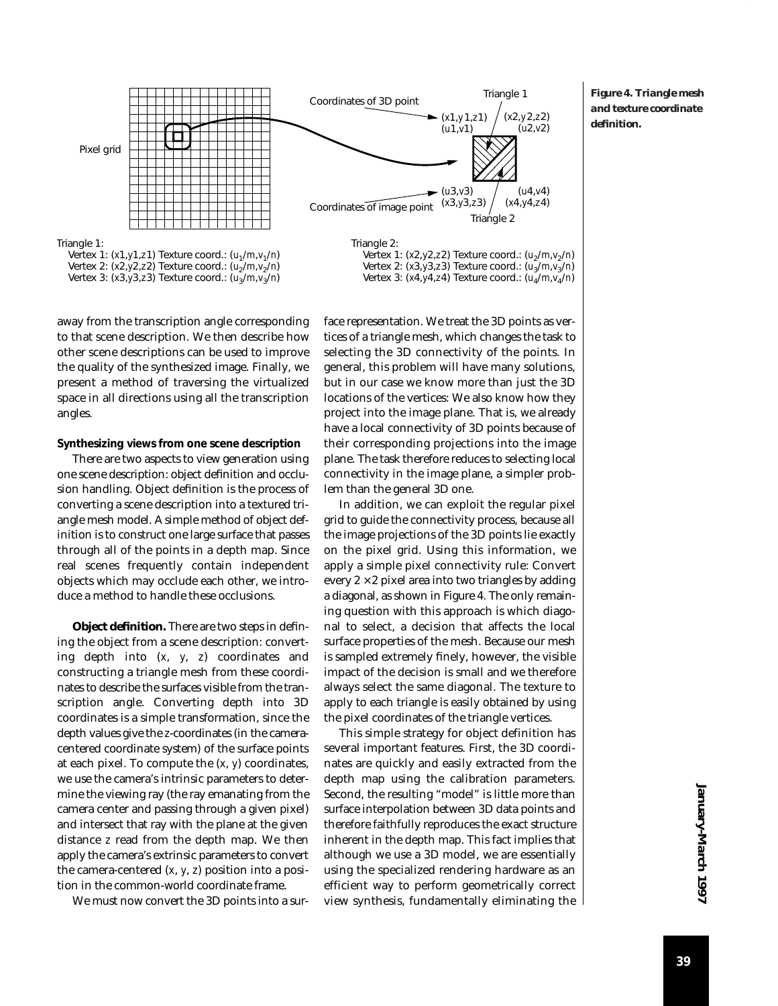

*Figure 4. Triangle mesh and texture coordinate definition.*

away from the transcription angle corresponding to that scene description. We then describe how other scene descriptions can be used to improve the quality of the synthesized image. Finally, we present a method of traversing the virtualized space in all directions using all the transcription angles.

**Synthesizing views from one scene description**

There are two aspects to view generation using one scene description: object definition and occlusion handling. Object definition is the process of converting a scene description into a textured triangle mesh model. A simple method of object definition is to construct one large surface that passes through all of the points in a depth map. Since real scenes frequently contain independent objects which may occlude each other, we introduce a method to handle these occlusions.

**Object definition.** There are two steps in defining the object from a scene description: converting depth into (*x*, *y*, *z*) coordinates and constructing a triangle mesh from these coordinates to describe the surfaces visible from the transcription angle. Converting depth into 3D coordinates is a simple transformation, since the depth values give the *z*-coordinates (in the cameracentered coordinate system) of the surface points at each pixel. To compute the (*x*, *y*) coordinates, we use the camera's intrinsic parameters to determine the viewing ray (the ray emanating from the camera center and passing through a given pixel) and intersect that ray with the plane at the given distance *z* read from the depth map. We then apply the camera's extrinsic parameters to convert the camera-centered (*x*, *y*, *z*) position into a position in the common-world coordinate frame.

We must now convert the 3D points into a sur-

face representation. We treat the 3D points as vertices of a triangle mesh, which changes the task to selecting the 3D connectivity of the points. In general, this problem will have many solutions, but in our case we know more than just the 3D locations of the vertices: We also know how they project into the image plane. That is, we already have a local connectivity of 3D points because of their corresponding projections into the image plane. The task therefore reduces to selecting local connectivity in the image plane, a simpler problem than the general 3D one.

In addition, we can exploit the regular pixel grid to guide the connectivity process, because all the image projections of the 3D points lie exactly on the pixel grid. Using this information, we apply a simple pixel connectivity rule: Convert every  $2 \times 2$  pixel area into two triangles by adding a diagonal, as shown in Figure 4. The only remaining question with this approach is which diagonal to select, a decision that affects the local surface properties of the mesh. Because our mesh is sampled extremely finely, however, the visible impact of the decision is small and we therefore always select the same diagonal. The texture to apply to each triangle is easily obtained by using the pixel coordinates of the triangle vertices.

This simple strategy for object definition has several important features. First, the 3D coordinates are quickly and easily extracted from the depth map using the calibration parameters. Second, the resulting "model" is little more than surface interpolation between 3D data points and therefore faithfully reproduces the exact structure inherent in the depth map. This fact implies that although we use a 3D model, we are essentially using the specialized rendering hardware as an efficient way to perform geometrically correct view synthesis, fundamentally eliminating the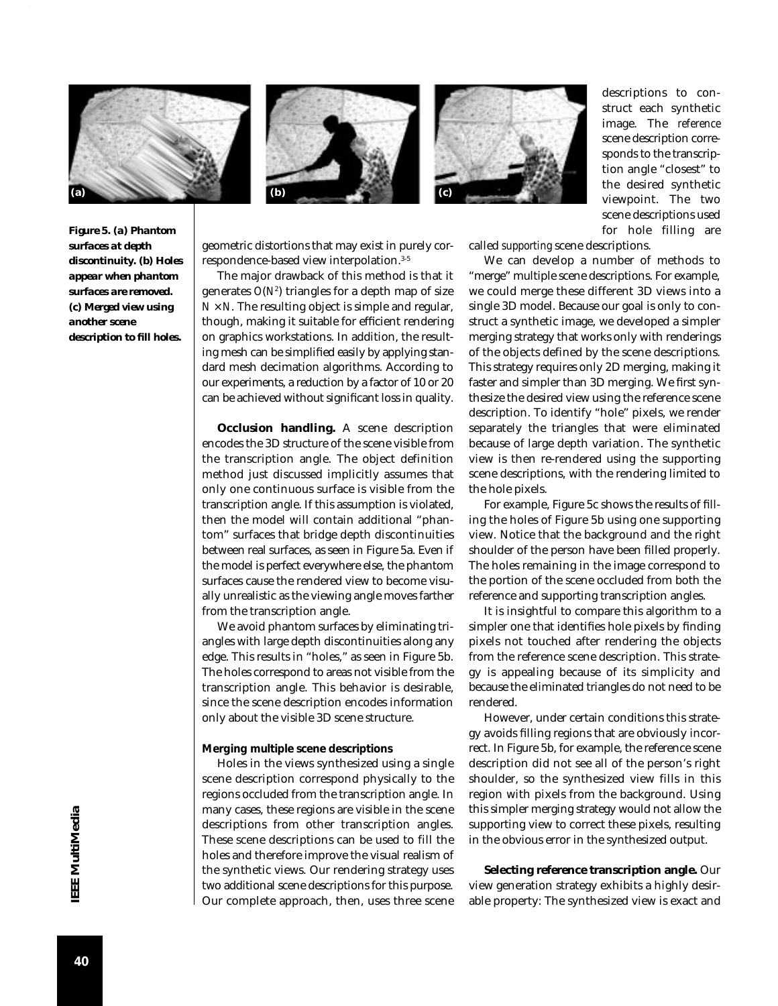





descriptions to construct each synthetic image. The *reference* scene description corresponds to the transcription angle "closest" to the desired synthetic viewpoint. The two scene descriptions used for hole filling are

*Figure 5. (a) Phantom surfaces at depth discontinuity. (b) Holes appear when phantom surfaces are removed. (c) Merged view using another scene description to fill holes.*

geometric distortions that may exist in purely correspondence-based view interpolation.3-5

The major drawback of this method is that it generates  $O(N^2)$  triangles for a depth map of size  $N \times N$ . The resulting object is simple and regular, though, making it suitable for efficient rendering on graphics workstations. In addition, the resulting mesh can be simplified easily by applying standard mesh decimation algorithms. According to our experiments, a reduction by a factor of 10 or 20 can be achieved without significant loss in quality.

**Occlusion handling.** A scene description encodes the 3D structure of the scene visible from the transcription angle. The object definition method just discussed implicitly assumes that only one continuous surface is visible from the transcription angle. If this assumption is violated, then the model will contain additional "phantom" surfaces that bridge depth discontinuities between real surfaces, as seen in Figure 5a. Even if the model is perfect everywhere else, the phantom surfaces cause the rendered view to become visually unrealistic as the viewing angle moves farther from the transcription angle.

We avoid phantom surfaces by eliminating triangles with large depth discontinuities along any edge. This results in "holes," as seen in Figure 5b. The holes correspond to areas not visible from the transcription angle. This behavior is desirable, since the scene description encodes information only about the visible 3D scene structure.

#### **Merging multiple scene descriptions**

Holes in the views synthesized using a single scene description correspond physically to the regions occluded from the transcription angle. In many cases, these regions are visible in the scene descriptions from other transcription angles. These scene descriptions can be used to fill the holes and therefore improve the visual realism of the synthetic views. Our rendering strategy uses two additional scene descriptions for this purpose. Our complete approach, then, uses three scene

called *supporting* scene descriptions.

We can develop a number of methods to "merge" multiple scene descriptions. For example, we could merge these different 3D views into a single 3D model. Because our goal is only to construct a synthetic image, we developed a simpler merging strategy that works only with renderings of the objects defined by the scene descriptions. This strategy requires only 2D merging, making it faster and simpler than 3D merging. We first synthesize the desired view using the reference scene description. To identify "hole" pixels, we render separately the triangles that were eliminated because of large depth variation. The synthetic view is then re-rendered using the supporting scene descriptions, with the rendering limited to the hole pixels.

For example, Figure 5c shows the results of filling the holes of Figure 5b using one supporting view. Notice that the background and the right shoulder of the person have been filled properly. The holes remaining in the image correspond to the portion of the scene occluded from both the reference and supporting transcription angles.

It is insightful to compare this algorithm to a simpler one that identifies hole pixels by finding pixels not touched after rendering the objects from the reference scene description. This strategy is appealing because of its simplicity and because the eliminated triangles do not need to be rendered.

However, under certain conditions this strategy avoids filling regions that are obviously incorrect. In Figure 5b, for example, the reference scene description did not see all of the person's right shoulder, so the synthesized view fills in this region with pixels from the background. Using this simpler merging strategy would not allow the supporting view to correct these pixels, resulting in the obvious error in the synthesized output.

**Selecting reference transcription angle.** Our view generation strategy exhibits a highly desirable property: The synthesized view is exact and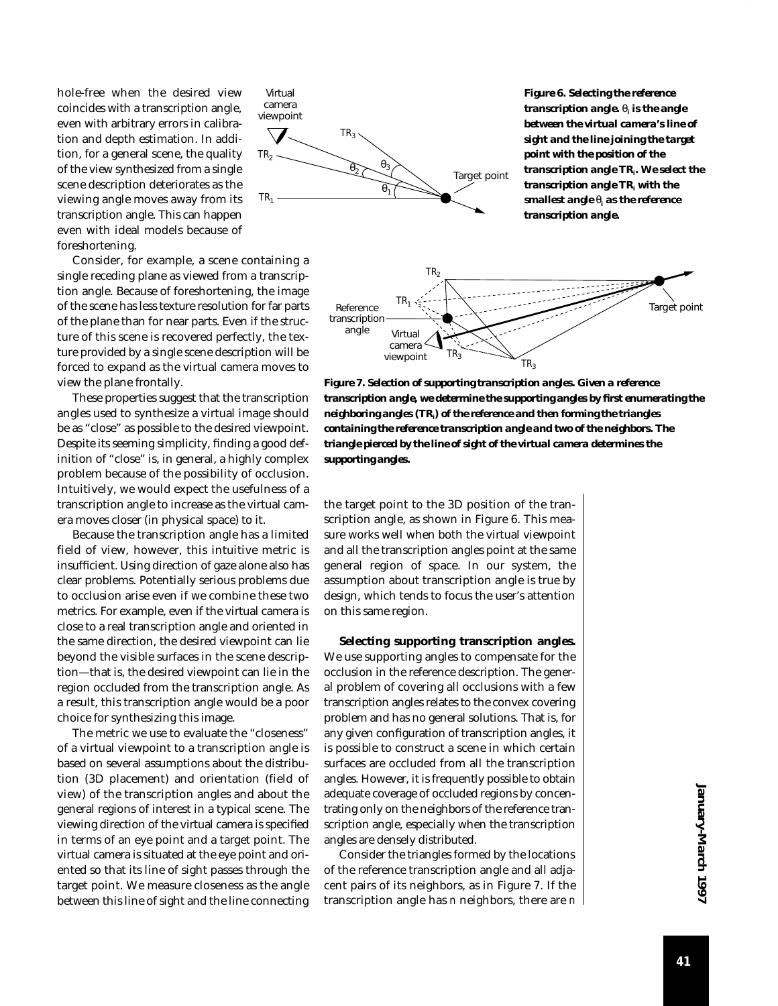hole-free when the desired view coincides with a transcription angle, even with arbitrary errors in calibration and depth estimation. In addition, for a general scene, the quality of the view synthesized from a single scene description deteriorates as the viewing angle moves away from its transcription angle. This can happen even with ideal models because of foreshortening.

Consider, for example, a scene containing a single receding plane as viewed from a transcription angle. Because of foreshortening, the image of the scene has less texture resolution for far parts of the plane than for near parts. Even if the structure of this scene is recovered perfectly, the texture provided by a single scene description will be forced to expand as the virtual camera moves to view the plane frontally.

These properties suggest that the transcription angles used to synthesize a virtual image should be as "close" as possible to the desired viewpoint. Despite its seeming simplicity, finding a good definition of "close" is, in general, a highly complex problem because of the possibility of occlusion. Intuitively, we would expect the usefulness of a transcription angle to increase as the virtual camera moves closer (in physical space) to it.

Because the transcription angle has a limited field of view, however, this intuitive metric is insufficient. Using direction of gaze alone also has clear problems. Potentially serious problems due to occlusion arise even if we combine these two metrics. For example, even if the virtual camera is close to a real transcription angle and oriented in the same direction, the desired viewpoint can lie beyond the visible surfaces in the scene description—that is, the desired viewpoint can lie in the region occluded from the transcription angle. As a result, this transcription angle would be a poor choice for synthesizing this image.

The metric we use to evaluate the "closeness" of a virtual viewpoint to a transcription angle is based on several assumptions about the distribution (3D placement) and orientation (field of view) of the transcription angles and about the general regions of interest in a typical scene. The viewing direction of the virtual camera is specified in terms of an eye point and a target point. The virtual camera is situated at the eye point and oriented so that its line of sight passes through the target point. We measure closeness as the angle between this line of sight and the line connecting



*Figure 6. Selecting the reference transcription angle.* θ*<sup>i</sup> is the angle between the virtual camera's line of sight and the line joining the target point with the position of the transcription angle TRi . We select the transcription angle TRi with the smallest angle* θ*<sup>i</sup> as the reference transcription angle.*



*Figure 7. Selection of supporting transcription angles. Given a reference transcription angle, we determine the supporting angles by first enumerating the neighboring angles (TRi ) of the reference and then forming the triangles containing the reference transcription angle and two of the neighbors. The triangle pierced by the line of sight of the virtual camera determines the supporting angles.*

the target point to the 3D position of the transcription angle, as shown in Figure 6. This measure works well when both the virtual viewpoint and all the transcription angles point at the same general region of space. In our system, the assumption about transcription angle is true by design, which tends to focus the user's attention on this same region.

**Selecting supporting transcription angles.** We use supporting angles to compensate for the occlusion in the reference description. The general problem of covering all occlusions with a few transcription angles relates to the convex covering problem and has no general solutions. That is, for any given configuration of transcription angles, it is possible to construct a scene in which certain surfaces are occluded from all the transcription angles. However, it is frequently possible to obtain adequate coverage of occluded regions by concentrating only on the neighbors of the reference transcription angle, especially when the transcription angles are densely distributed.

Consider the triangles formed by the locations of the reference transcription angle and all adjacent pairs of its neighbors, as in Figure 7. If the transcription angle has *n* neighbors, there are *n*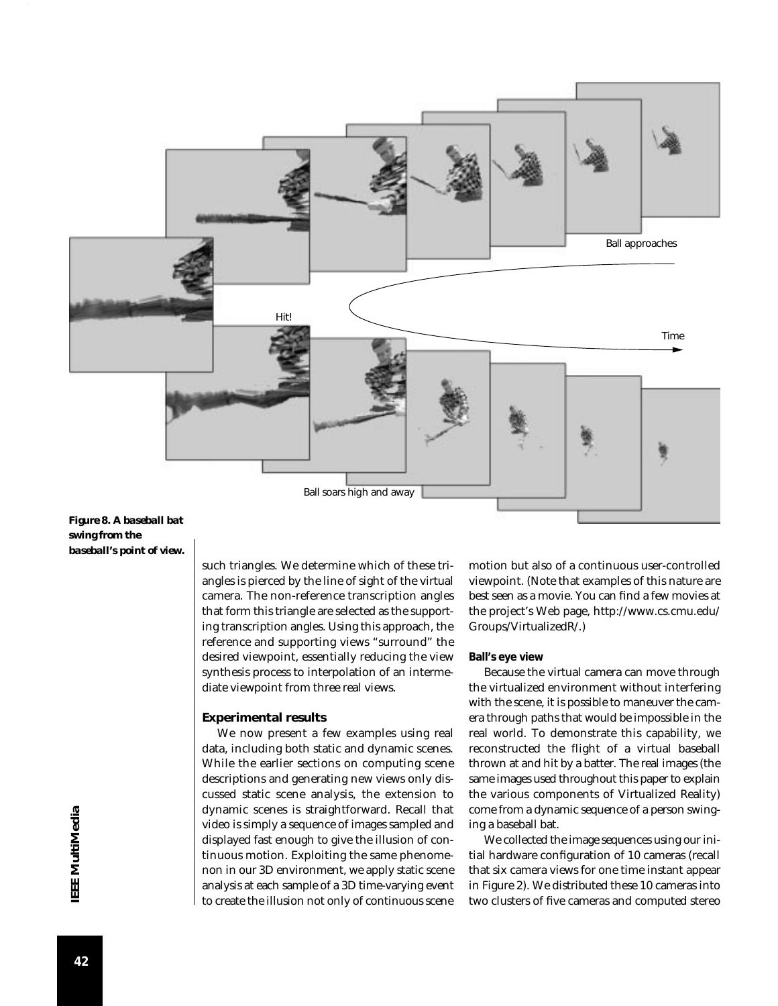

*Figure 8. A baseball bat swing from the baseball's point of view.*

> such triangles. We determine which of these triangles is pierced by the line of sight of the virtual camera. The non-reference transcription angles that form this triangle are selected as the supporting transcription angles. Using this approach, the reference and supporting views "surround" the desired viewpoint, essentially reducing the view synthesis process to interpolation of an intermediate viewpoint from three real views.

#### **Experimental results**

We now present a few examples using real data, including both static and dynamic scenes. While the earlier sections on computing scene descriptions and generating new views only discussed static scene analysis, the extension to dynamic scenes is straightforward. Recall that video is simply a sequence of images sampled and displayed fast enough to give the illusion of continuous motion. Exploiting the same phenomenon in our 3D environment, we apply static scene analysis at each sample of a 3D time-varying event to create the illusion not only of continuous scene

motion but also of a continuous user-controlled viewpoint. (Note that examples of this nature are best seen as a movie. You can find a few movies at the project's Web page, http://www.cs.cmu.edu/ Groups/VirtualizedR/.)

## **Ball's eye view**

Because the virtual camera can move through the virtualized environment without interfering with the scene, it is possible to maneuver the camera through paths that would be impossible in the real world. To demonstrate this capability, we reconstructed the flight of a virtual baseball thrown at and hit by a batter. The real images (the same images used throughout this paper to explain the various components of Virtualized Reality) come from a dynamic sequence of a person swinging a baseball bat.

We collected the image sequences using our initial hardware configuration of 10 cameras (recall that six camera views for one time instant appear in Figure 2). We distributed these 10 cameras into two clusters of five cameras and computed stereo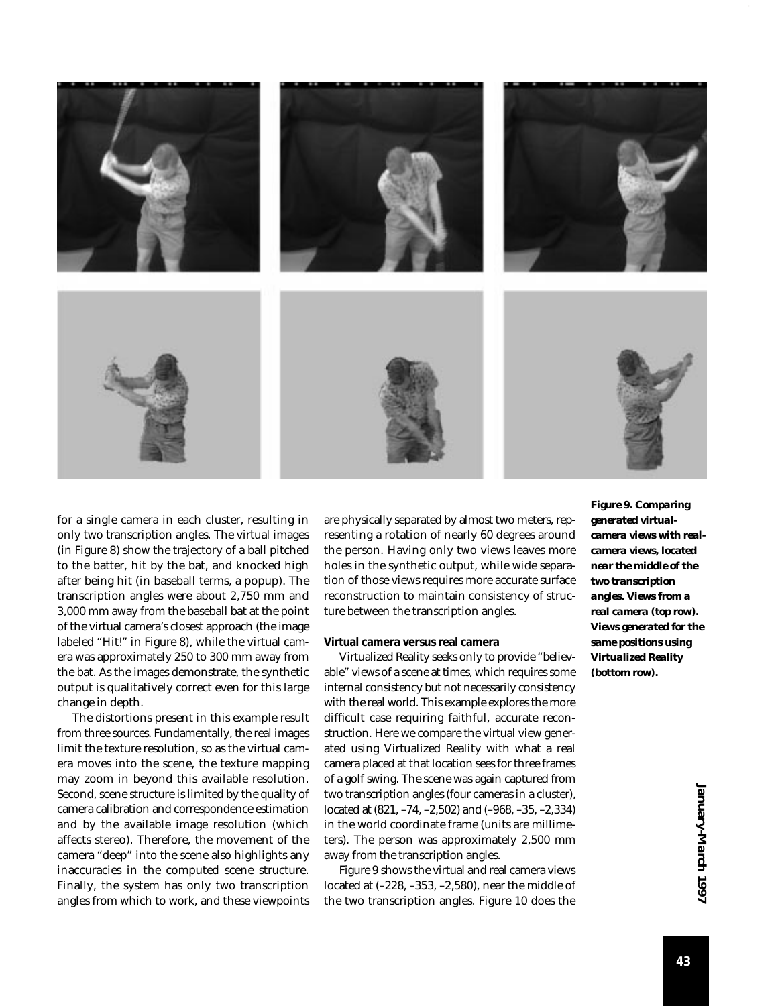

for a single camera in each cluster, resulting in only two transcription angles. The virtual images (in Figure 8) show the trajectory of a ball pitched to the batter, hit by the bat, and knocked high after being hit (in baseball terms, a popup). The transcription angles were about 2,750 mm and 3,000 mm away from the baseball bat at the point of the virtual camera's closest approach (the image labeled "Hit!" in Figure 8), while the virtual camera was approximately 250 to 300 mm away from the bat. As the images demonstrate, the synthetic output is qualitatively correct even for this large change in depth.

The distortions present in this example result from three sources. Fundamentally, the real images limit the texture resolution, so as the virtual camera moves into the scene, the texture mapping may zoom in beyond this available resolution. Second, scene structure is limited by the quality of camera calibration and correspondence estimation and by the available image resolution (which affects stereo). Therefore, the movement of the camera "deep" into the scene also highlights any inaccuracies in the computed scene structure. Finally, the system has only two transcription angles from which to work, and these viewpoints

are physically separated by almost two meters, representing a rotation of nearly 60 degrees around the person. Having only two views leaves more holes in the synthetic output, while wide separation of those views requires more accurate surface reconstruction to maintain consistency of structure between the transcription angles.

#### **Virtual camera versus real camera**

Virtualized Reality seeks only to provide "believable" views of a scene at times, which requires some internal consistency but not necessarily consistency with the real world. This example explores the more difficult case requiring faithful, accurate reconstruction. Here we compare the virtual view generated using Virtualized Reality with what a real camera placed at that location sees for three frames of a golf swing. The scene was again captured from two transcription angles (four cameras in a cluster), located at (821, –74, –2,502) and (–968, –35, –2,334) in the world coordinate frame (units are millimeters). The person was approximately 2,500 mm away from the transcription angles.

Figure 9 shows the virtual and real camera views located at (–228, –353, –2,580), near the middle of the two transcription angles. Figure 10 does the

*Figure 9. Comparing generated virtualcamera views with realcamera views, located near the middle of the two transcription angles. Views from a real camera (top row). Views generated for the same positions using Virtualized Reality (bottom row).*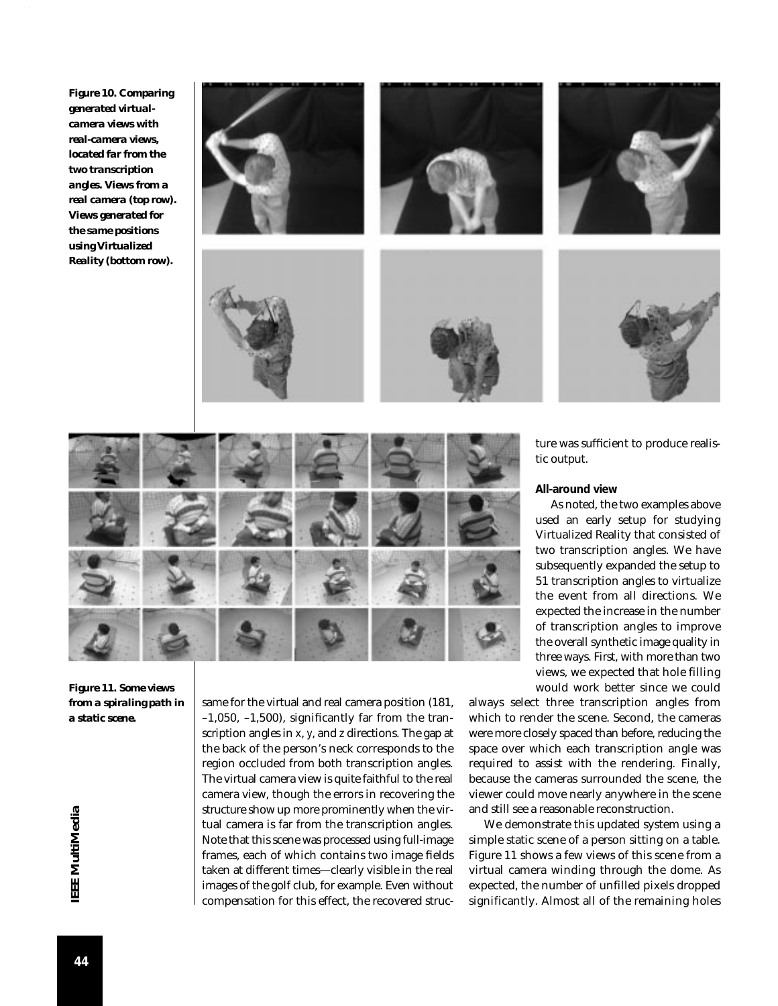*Figure 10. Comparing generated virtualcamera views with real-camera views, located far from the two transcription angles. Views from a real camera (top row). Views generated for the same positions using Virtualized Reality (bottom row).*





*Figure 11. Some views from a spiraling path in a static scene.*

same for the virtual and real camera position (181, –1,050, –1,500), significantly far from the transcription angles in *x*, *y*, and *z* directions. The gap at the back of the person's neck corresponds to the region occluded from both transcription angles. The virtual camera view is quite faithful to the real camera view, though the errors in recovering the structure show up more prominently when the virtual camera is far from the transcription angles. Note that this scene was processed using full-image frames, each of which contains two image fields taken at different times—clearly visible in the real images of the golf club, for example. Even without compensation for this effect, the recovered structure was sufficient to produce realistic output.

## **All-around view**

As noted, the two examples above used an early setup for studying Virtualized Reality that consisted of two transcription angles. We have subsequently expanded the setup to 51 transcription angles to virtualize the event from all directions. We expected the increase in the number of transcription angles to improve the overall synthetic image quality in three ways. First, with more than two views, we expected that hole filling would work better since we could

always select three transcription angles from which to render the scene. Second, the cameras were more closely spaced than before, reducing the space over which each transcription angle was required to assist with the rendering. Finally, because the cameras surrounded the scene, the viewer could move nearly anywhere in the scene and still see a reasonable reconstruction.

We demonstrate this updated system using a simple static scene of a person sitting on a table. Figure 11 shows a few views of this scene from a virtual camera winding through the dome. As expected, the number of unfilled pixels dropped significantly. Almost all of the remaining holes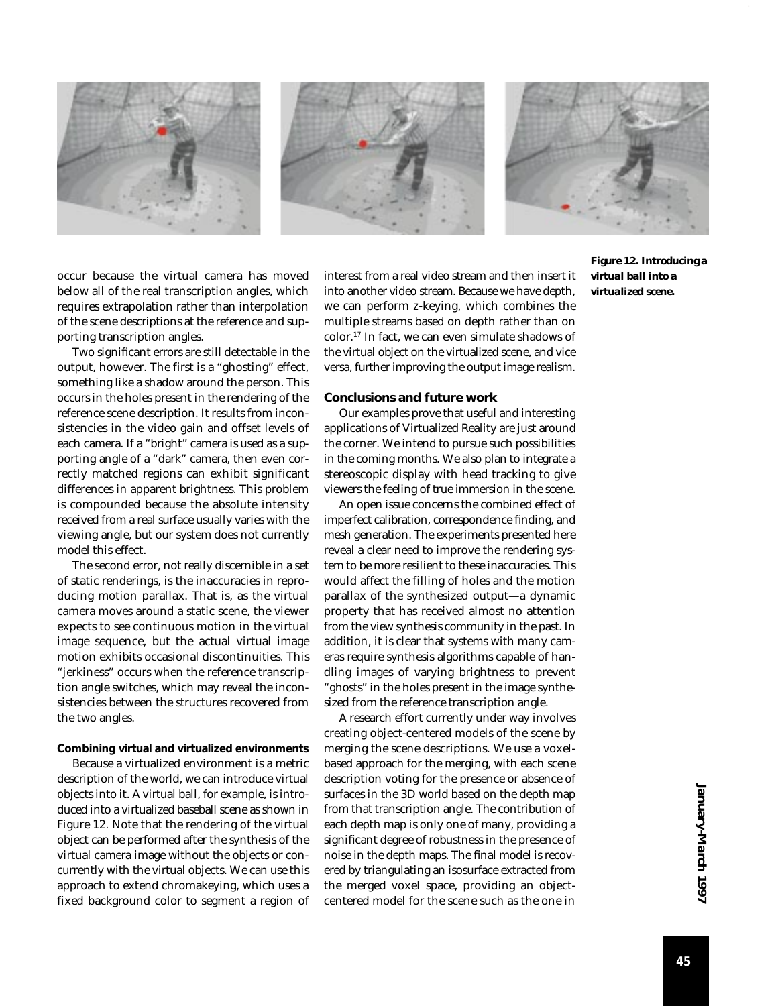





occur because the virtual camera has moved below all of the real transcription angles, which requires extrapolation rather than interpolation of the scene descriptions at the reference and supporting transcription angles.

Two significant errors are still detectable in the output, however. The first is a "ghosting" effect, something like a shadow around the person. This occurs in the holes present in the rendering of the reference scene description. It results from inconsistencies in the video gain and offset levels of each camera. If a "bright" camera is used as a supporting angle of a "dark" camera, then even correctly matched regions can exhibit significant differences in apparent brightness. This problem is compounded because the absolute intensity received from a real surface usually varies with the viewing angle, but our system does not currently model this effect.

The second error, not really discernible in a set of static renderings, is the inaccuracies in reproducing motion parallax. That is, as the virtual camera moves around a static scene, the viewer expects to see continuous motion in the virtual image sequence, but the actual virtual image motion exhibits occasional discontinuities. This "jerkiness" occurs when the reference transcription angle switches, which may reveal the inconsistencies between the structures recovered from the two angles.

**Combining virtual and virtualized environments**

Because a virtualized environment is a metric description of the world, we can introduce virtual objects into it. A virtual ball, for example, is introduced into a virtualized baseball scene as shown in Figure 12. Note that the rendering of the virtual object can be performed after the synthesis of the virtual camera image without the objects or concurrently with the virtual objects. We can use this approach to extend chromakeying, which uses a fixed background color to segment a region of interest from a real video stream and then insert it into another video stream. Because we have depth, we can perform *z*-keying, which combines the multiple streams based on depth rather than on color.17 In fact, we can even simulate shadows of the virtual object on the virtualized scene, and vice versa, further improving the output image realism.

## **Conclusions and future work**

Our examples prove that useful and interesting applications of Virtualized Reality are just around the corner. We intend to pursue such possibilities in the coming months. We also plan to integrate a stereoscopic display with head tracking to give viewers the feeling of true immersion in the scene.

An open issue concerns the combined effect of imperfect calibration, correspondence finding, and mesh generation. The experiments presented here reveal a clear need to improve the rendering system to be more resilient to these inaccuracies. This would affect the filling of holes and the motion parallax of the synthesized output—a dynamic property that has received almost no attention from the view synthesis community in the past. In addition, it is clear that systems with many cameras require synthesis algorithms capable of handling images of varying brightness to prevent "ghosts" in the holes present in the image synthesized from the reference transcription angle.

A research effort currently under way involves creating object-centered models of the scene by merging the scene descriptions. We use a voxelbased approach for the merging, with each scene description voting for the presence or absence of surfaces in the 3D world based on the depth map from that transcription angle. The contribution of each depth map is only one of many, providing a significant degree of robustness in the presence of noise in the depth maps. The final model is recovered by triangulating an isosurface extracted from the merged voxel space, providing an objectcentered model for the scene such as the one in *Figure 12. Introducing a virtual ball into a virtualized scene.*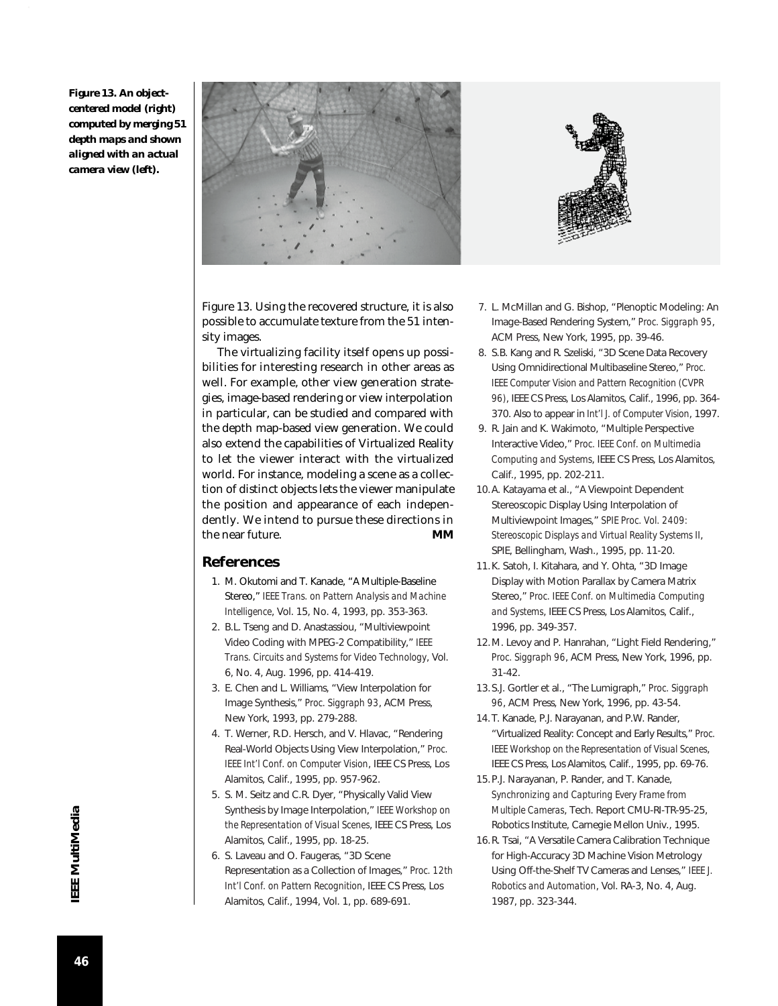*Figure 13. An objectcentered model (right) computed by merging 51 depth maps and shown aligned with an actual camera view (left).*



Figure 13. Using the recovered structure, it is also possible to accumulate texture from the 51 intensity images.

The virtualizing facility itself opens up possibilities for interesting research in other areas as well. For example, other view generation strategies, image-based rendering or view interpolation in particular, can be studied and compared with the depth map-based view generation. We could also extend the capabilities of Virtualized Reality to let the viewer interact with the virtualized world. For instance, modeling a scene as a collection of distinct objects lets the viewer manipulate the position and appearance of each independently. We intend to pursue these directions in the near future. **MM**

# **References**

- 1. M. Okutomi and T. Kanade, "A Multiple-Baseline Stereo," *IEEE Trans. on Pattern Analysis and Machine Intelligence*, Vol. 15, No. 4, 1993, pp. 353-363.
- 2. B.L. Tseng and D. Anastassiou, "Multiviewpoint Video Coding with MPEG-2 Compatibility," *IEEE Trans. Circuits and Systems for Video Technology*, Vol. 6, No. 4, Aug. 1996, pp. 414-419.
- 3. E. Chen and L. Williams, "View Interpolation for Image Synthesis," *Proc. Siggraph 93*, ACM Press, New York, 1993, pp. 279-288.
- 4. T. Werner, R.D. Hersch, and V. Hlavac, "Rendering Real-World Objects Using View Interpolation," *Proc. IEEE Int'l Conf. on Computer Vision*, IEEE CS Press, Los Alamitos, Calif., 1995, pp. 957-962.
- 5. S. M. Seitz and C.R. Dyer, "Physically Valid View Synthesis by Image Interpolation," *IEEE Workshop on the Representation of Visual Scenes*, IEEE CS Press, Los Alamitos, Calif., 1995, pp. 18-25.
- 6. S. Laveau and O. Faugeras, "3D Scene Representation as a Collection of Images," *Proc. 12th Int'l Conf. on Pattern Recognition*, IEEE CS Press, Los Alamitos, Calif., 1994, Vol. 1, pp. 689-691.



- 8. S.B. Kang and R. Szeliski, "3D Scene Data Recovery Using Omnidirectional Multibaseline Stereo," *Proc. IEEE Computer Vision and Pattern Recognition (CVPR 96)*, IEEE CS Press, Los Alamitos, Calif., 1996, pp. 364- 370. Also to appear in *Int'l J. of Computer Vision*, 1997.
- 9. R. Jain and K. Wakimoto, "Multiple Perspective Interactive Video," *Proc. IEEE Conf. on Multimedia Computing and Systems*, IEEE CS Press, Los Alamitos, Calif., 1995, pp. 202-211.
- 10.A. Katayama et al., "A Viewpoint Dependent Stereoscopic Display Using Interpolation of Multiviewpoint Images," *SPIE Proc. Vol. 2409: Stereoscopic Displays and Virtual Reality Systems II*, SPIE, Bellingham, Wash., 1995, pp. 11-20.
- 11.K. Satoh, I. Kitahara, and Y. Ohta, "3D Image Display with Motion Parallax by Camera Matrix Stereo," *Proc. IEEE Conf. on Multimedia Computing and Systems*, IEEE CS Press, Los Alamitos, Calif., 1996, pp. 349-357.
- 12.M. Levoy and P. Hanrahan, "Light Field Rendering," *Proc. Siggraph 96*, ACM Press, New York, 1996, pp. 31-42.
- 13.S.J. Gortler et al., "The Lumigraph," *Proc. Siggraph 96*, ACM Press, New York, 1996, pp. 43-54.
- 14.T. Kanade, P.J. Narayanan, and P.W. Rander, "Virtualized Reality: Concept and Early Results," *Proc. IEEE Workshop on the Representation of Visual Scenes*, IEEE CS Press, Los Alamitos, Calif., 1995, pp. 69-76.
- 15.P.J. Narayanan, P. Rander, and T. Kanade, *Synchronizing and Capturing Every Frame from Multiple Cameras*, Tech. Report CMU-RI-TR-95-25, Robotics Institute, Carnegie Mellon Univ., 1995.
- 16.R. Tsai, "A Versatile Camera Calibration Technique for High-Accuracy 3D Machine Vision Metrology Using Off-the-Shelf TV Cameras and Lenses," *IEEE J. Robotics and Automation*, Vol. RA-3, No. 4, Aug. 1987, pp. 323-344.